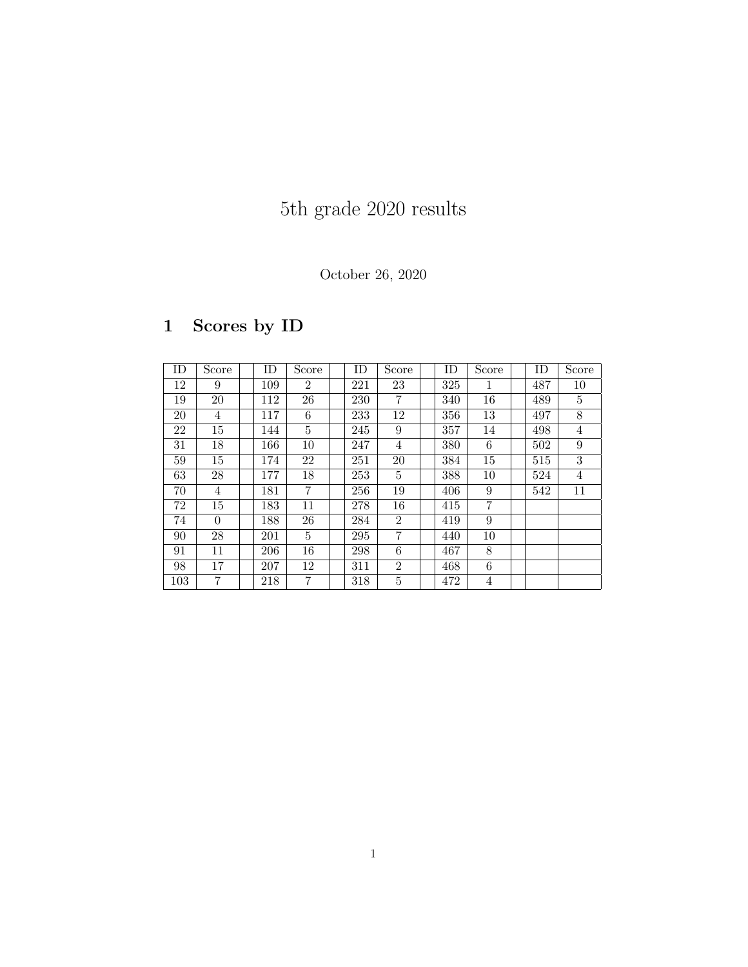# 5th grade 2020 results

#### October 26, 2020

## 1 Scores by ID

| ID     | Score           | ID  | Score          | ID  | Score          | ID  | Score          | ID  | Score          |
|--------|-----------------|-----|----------------|-----|----------------|-----|----------------|-----|----------------|
| 12     | 9               | 109 | $\overline{2}$ | 221 | 23             | 325 | 1              | 487 | 10             |
| 19     | 20              | 112 | 26             | 230 | 7              | 340 | 16             | 489 | 5              |
| 20     | 4               | 117 | 6              | 233 | 12             | 356 | 13             | 497 | 8              |
| 22     | 15              | 144 | $\overline{5}$ | 245 | 9              | 357 | 14             | 498 | 4              |
| 31     | 18              | 166 | 10             | 247 | 4              | 380 | 6              | 502 | 9              |
| $59\,$ | 15              | 174 | 22             | 251 | 20             | 384 | 15             | 515 | 3              |
| 63     | $\overline{28}$ | 177 | 18             | 253 | 5              | 388 | 10             | 524 | $\overline{4}$ |
| 70     | $\overline{4}$  | 181 | $\overline{7}$ | 256 | 19             | 406 | 9              | 542 | 11             |
| 72     | 15              | 183 | 11             | 278 | 16             | 415 | $\overline{7}$ |     |                |
| 74     | $\Omega$        | 188 | 26             | 284 | $\overline{2}$ | 419 | 9              |     |                |
| 90     | 28              | 201 | $\overline{5}$ | 295 | 7              | 440 | 10             |     |                |
| 91     | 11              | 206 | 16             | 298 | 6              | 467 | 8              |     |                |
| 98     | 17              | 207 | 12             | 311 | $\overline{2}$ | 468 | 6              |     |                |
| 103    | 7               | 218 | $\overline{7}$ | 318 | 5              | 472 | 4              |     |                |